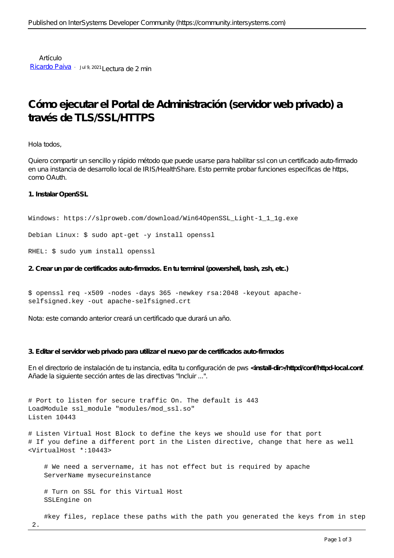Artículo [Ricardo Paiva](https://es.community.intersystems.com/user/ricardo-paiva) · Jul 9, 2021 Lectura de 2 min

## **Cómo ejecutar el Portal de Administración (servidor web privado) a través de TLS/SSL/HTTPS**

Hola todos,

Quiero compartir un sencillo y rápido método que puede usarse para habilitar ssl con un certificado auto-firmado en una instancia de desarrollo local de IRIS/HealthShare. Esto permite probar funciones específicas de https, como OAuth.

**1. Instalar OpenSSL**

```
Windows: https://slproweb.com/download/Win64OpenSSL_Light-1_1_1g.exe
```
Debian Linux: \$ sudo apt-get -y install openssl

RHEL: \$ sudo yum install openssl

**2. Crear un par de certificados auto-firmados. En tu terminal (powershell, bash, zsh, etc.)**

```
$ openssl req -x509 -nodes -days 365 -newkey rsa:2048 -keyout apache-
selfsigned.key -out apache-selfsigned.crt
```
Nota: este comando anterior creará un certificado que durará un año.

## **3. Editar el servidor web privado para utilizar el nuevo par de certificados auto-firmados**

En el directorio de instalación de tu instancia, edita tu configuración de pws **<install-dir>/httpd/conf/httpd-local.conf**. Añade la siguiente sección antes de las directivas "Incluir ...".

# Port to listen for secure traffic On. The default is 443 LoadModule ssl\_module "modules/mod\_ssl.so" Listen 10443

# Listen Virtual Host Block to define the keys we should use for that port # If you define a different port in the Listen directive, change that here as well <VirtualHost \*:10443>

 # We need a servername, it has not effect but is required by apache ServerName mysecureinstance

 # Turn on SSL for this Virtual Host SSLEngine on

#key files, replace these paths with the path you generated the keys from in step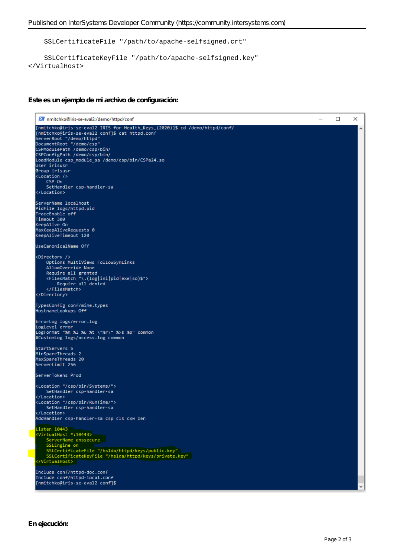SSLCertificateFile "/path/to/apache-selfsigned.crt"

```
 SSLCertificateKeyFile "/path/to/apache-selfsigned.key"
</VirtualHost>
```
**Este es un ejemplo de mi archivo de configuración:**

```
2 nmitchko@iris-se-eval2:/demo/httpd/conf
                                                                                                                                                     \Box\timesServerRoot "/demo/httpd"
DocumentRoot "/demo/csp"
COCUMENTROOT /demo/csp/bin/<br>CSPModulePath /demo/csp/bin/<br>CSPConfigPath /demo/csp/bin/
LoadModule csp_module_sa /demo/csp/bin/CSPa24.so
User irisusr
Group irisusr
<Location />
     CSP On
     SetHandler csn-handler-sa
</Location>
ServerName localhost
PidFile logs/httpd.pid
TraceEnable off
Timeout 300
..............<br>KeepAlive On<br>MaxKeepAliveRequests 0<br>KeepAliveTimeout 120
UseCanonicalName Off
<Directory />
     Options MultiViews FollowSymLinks
     AllowOverride None
     Allowoverride wome<br>Require all granted<br><FilesMatch "\.(log|ini|pid|exe|so)$"><br>Require all denied<br></FilesMatch>
</Directory>
TypesConfig conf/mime.types
HostnameLookups Off
ErrorLog logs/error.log<br>LogLevel error<br>LogFormat "%h %l %u %t \"%r\" %>s %b" common<br>#CustomLog logs/access.log common
StartServers 5
_____________<br>MinSpareThreads 2
MaxSpareThreads 20
ServerLimit 256
ServerTokens Prod
<Location "/csp/bin/Systems/">
     SetHandler csp-handler-sa
</Location>
SetHandler csp-handler-sa
</Location>
AddHandler csp-handler-sa csp cls cxw zen
Listen 10443<br><VirtualHost *:10443>
    Comminstration<br>Silengine ensecure<br>Silengine on<br>SilentificateFile "/hslda/httpd/keys/public.key"<br>SilentificateKeyFile "/hslda/httpd/keys/private.key"
 /VirtualHost>
Include conf/httpd-doc.conf
Include conf/httpd-local.conf
[nmitchko@iris-se-eval2 conf]$
```